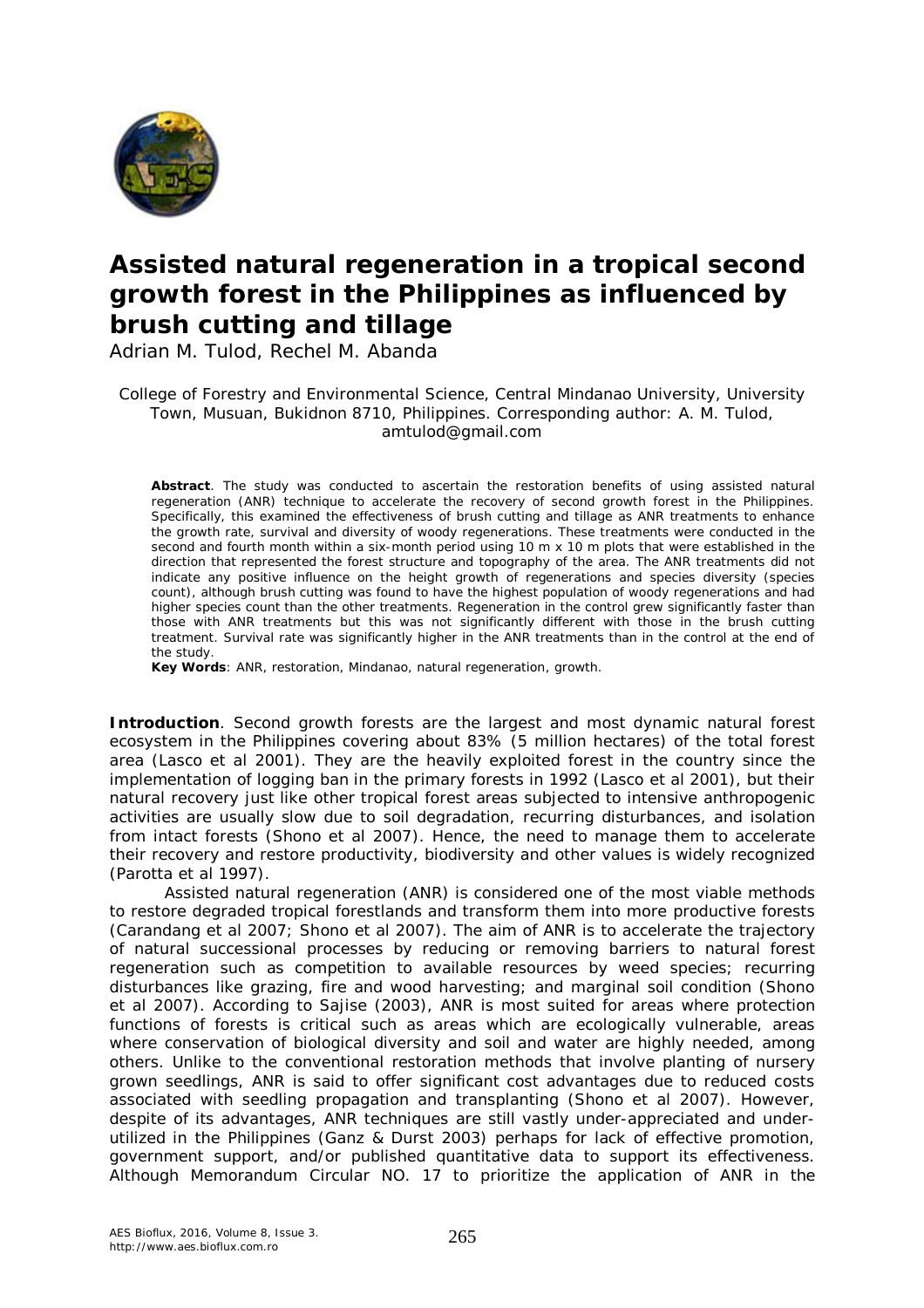

# **Assisted natural regeneration in a tropical second growth forest in the Philippines as influenced by brush cutting and tillage**

Adrian M. Tulod, Rechel M. Abanda

College of Forestry and Environmental Science, Central Mindanao University, University Town, Musuan, Bukidnon 8710, Philippines. Corresponding author: A. M. Tulod, amtulod@gmail.com

**Abstract**. The study was conducted to ascertain the restoration benefits of using assisted natural regeneration (ANR) technique to accelerate the recovery of second growth forest in the Philippines. Specifically, this examined the effectiveness of brush cutting and tillage as ANR treatments to enhance the growth rate, survival and diversity of woody regenerations. These treatments were conducted in the second and fourth month within a six-month period using 10 m x 10 m plots that were established in the direction that represented the forest structure and topography of the area. The ANR treatments did not indicate any positive influence on the height growth of regenerations and species diversity (species count), although brush cutting was found to have the highest population of woody regenerations and had higher species count than the other treatments. Regeneration in the control grew significantly faster than those with ANR treatments but this was not significantly different with those in the brush cutting treatment. Survival rate was significantly higher in the ANR treatments than in the control at the end of the study.

**Key Words**: ANR, restoration, Mindanao, natural regeneration, growth.

**Introduction**. Second growth forests are the largest and most dynamic natural forest ecosystem in the Philippines covering about 83% (5 million hectares) of the total forest area (Lasco et al 2001). They are the heavily exploited forest in the country since the implementation of logging ban in the primary forests in 1992 (Lasco et al 2001), but their natural recovery just like other tropical forest areas subjected to intensive anthropogenic activities are usually slow due to soil degradation, recurring disturbances, and isolation from intact forests (Shono et al 2007). Hence, the need to manage them to accelerate their recovery and restore productivity, biodiversity and other values is widely recognized (Parotta et al 1997).

Assisted natural regeneration (ANR) is considered one of the most viable methods to restore degraded tropical forestlands and transform them into more productive forests (Carandang et al 2007; Shono et al 2007). The aim of ANR is to accelerate the trajectory of natural successional processes by reducing or removing barriers to natural forest regeneration such as competition to available resources by weed species; recurring disturbances like grazing, fire and wood harvesting; and marginal soil condition (Shono et al 2007). According to Sajise (2003), ANR is most suited for areas where protection functions of forests is critical such as areas which are ecologically vulnerable, areas where conservation of biological diversity and soil and water are highly needed, among others. Unlike to the conventional restoration methods that involve planting of nursery grown seedlings, ANR is said to offer significant cost advantages due to reduced costs associated with seedling propagation and transplanting (Shono et al 2007). However, despite of its advantages, ANR techniques are still vastly under-appreciated and underutilized in the Philippines (Ganz & Durst 2003) perhaps for lack of effective promotion, government support, and/or published quantitative data to support its effectiveness. Although Memorandum Circular NO. 17 to prioritize the application of ANR in the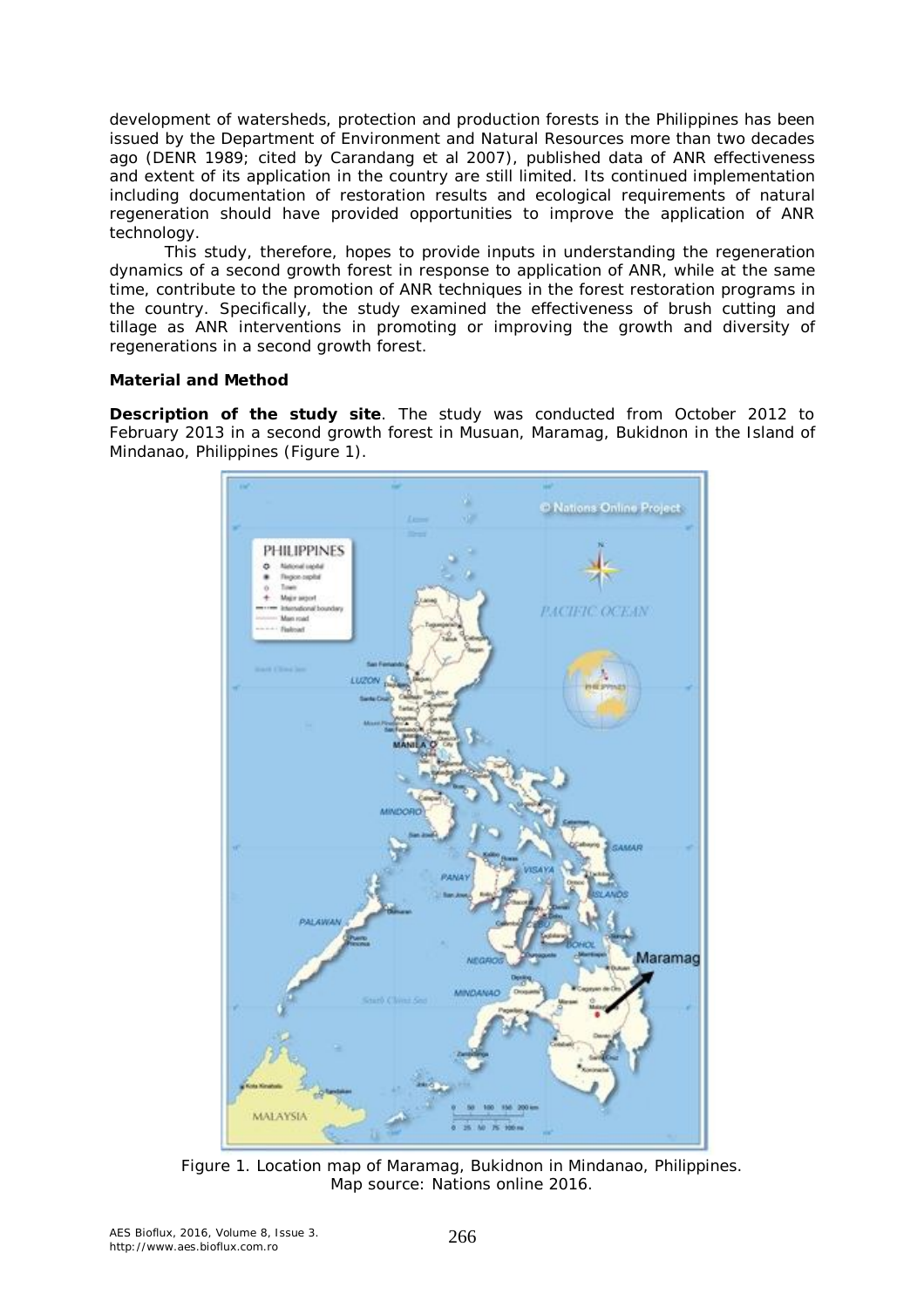development of watersheds, protection and production forests in the Philippines has been issued by the Department of Environment and Natural Resources more than two decades ago (DENR 1989; cited by Carandang et al 2007), published data of ANR effectiveness and extent of its application in the country are still limited. Its continued implementation including documentation of restoration results and ecological requirements of natural regeneration should have provided opportunities to improve the application of ANR technology.

This study, therefore, hopes to provide inputs in understanding the regeneration dynamics of a second growth forest in response to application of ANR, while at the same time, contribute to the promotion of ANR techniques in the forest restoration programs in the country. Specifically, the study examined the effectiveness of brush cutting and tillage as ANR interventions in promoting or improving the growth and diversity of regenerations in a second growth forest.

### **Material and Method**

*Description of the study site.* The study was conducted from October 2012 to February 2013 in a second growth forest in Musuan, Maramag, Bukidnon in the Island of Mindanao, Philippines (Figure 1).



Figure 1. Location map of Maramag, Bukidnon in Mindanao, Philippines. Map source: Nations online 2016.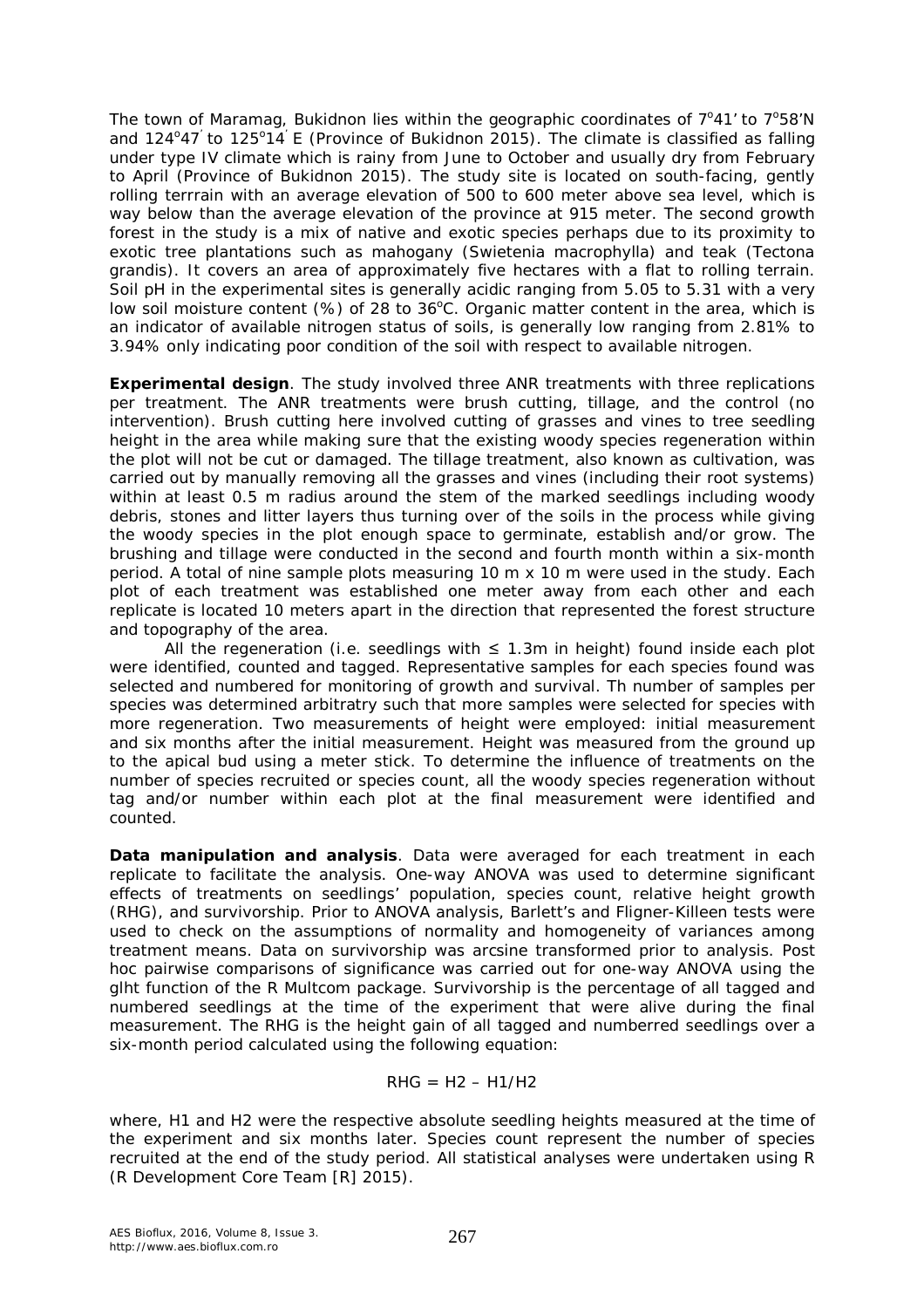The town of Maramag, Bukidnon lies within the geographic coordinates of  $7^{\circ}41'$  to  $7^{\circ}58'$ N and  $124^{\circ}47'$  to  $125^{\circ}14'$  E (Province of Bukidnon 2015). The climate is classified as falling under type IV climate which is rainy from June to October and usually dry from February to April (Province of Bukidnon 2015). The study site is located on south-facing, gently rolling terrrain with an average elevation of 500 to 600 meter above sea level, which is way below than the average elevation of the province at 915 meter. The second growth forest in the study is a mix of native and exotic species perhaps due to its proximity to exotic tree plantations such as mahogany (*Swietenia macrophylla*) and teak (*Tectona grandis*). It covers an area of approximately five hectares with a flat to rolling terrain. Soil pH in the experimental sites is generally acidic ranging from 5.05 to 5.31 with a very low soil moisture content (%) of 28 to  $36^{\circ}$ C. Organic matter content in the area, which is an indicator of available nitrogen status of soils, is generally low ranging from 2.81% to 3.94% only indicating poor condition of the soil with respect to available nitrogen.

*Experimental design.* The study involved three ANR treatments with three replications per treatment. The ANR treatments were brush cutting, tillage, and the control (no intervention). Brush cutting here involved cutting of grasses and vines to tree seedling height in the area while making sure that the existing woody species regeneration within the plot will not be cut or damaged. The tillage treatment, also known as cultivation, was carried out by manually removing all the grasses and vines (including their root systems) within at least 0.5 m radius around the stem of the marked seedlings including woody debris, stones and litter layers thus turning over of the soils in the process while giving the woody species in the plot enough space to germinate, establish and/or grow. The brushing and tillage were conducted in the second and fourth month within a six-month period. A total of nine sample plots measuring 10 m x 10 m were used in the study. Each plot of each treatment was established one meter away from each other and each replicate is located 10 meters apart in the direction that represented the forest structure and topography of the area.

All the regeneration (i.e. seedlings with  $\leq 1.3$ m in height) found inside each plot were identified, counted and tagged. Representative samples for each species found was selected and numbered for monitoring of growth and survival. Th number of samples per species was determined arbitratry such that more samples were selected for species with more regeneration. Two measurements of height were employed: initial measurement and six months after the initial measurement. Height was measured from the ground up to the apical bud using a meter stick. To determine the influence of treatments on the number of species recruited or species count, all the woody species regeneration without tag and/or number within each plot at the final measurement were identified and counted.

*Data manipulation and analysis.* Data were averaged for each treatment in each replicate to facilitate the analysis. One-way ANOVA was used to determine significant effects of treatments on seedlings' population, species count, relative height growth (RHG), and survivorship. Prior to ANOVA analysis, Barlett's and Fligner-Killeen tests were used to check on the assumptions of normality and homogeneity of variances among treatment means. Data on survivorship was arcsine transformed prior to analysis. Post hoc pairwise comparisons of significance was carried out for one-way ANOVA using the glht function of the R Multcom package. Survivorship is the percentage of all tagged and numbered seedlings at the time of the experiment that were alive during the final measurement. The RHG is the height gain of all tagged and numberred seedlings over a six-month period calculated using the following equation:

## $RHG = H2 - H1/H2$

where, H1 and H2 were the respective absolute seedling heights measured at the time of the experiment and six months later. Species count represent the number of species recruited at the end of the study period. All statistical analyses were undertaken using R (R Development Core Team [R] 2015).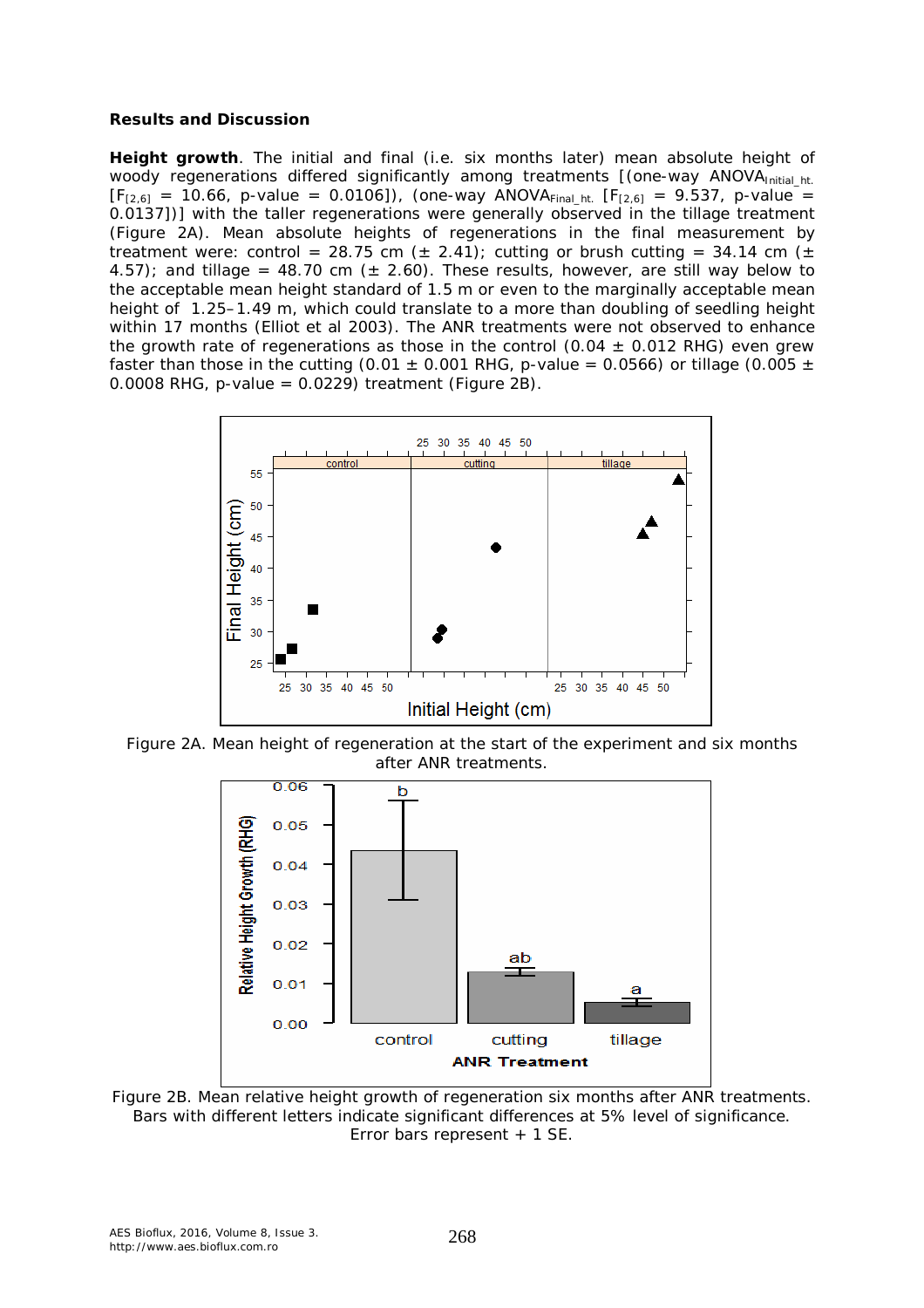#### **Results and Discussion**

*Height growth*. The initial and final (i.e. six months later) mean absolute height of woody regenerations differed significantly among treatments [(one-way ANOVAInitial ht.  $[F_{[2,6]} = 10.66, p-value = 0.0106]$ , (one-way ANOVA<sub>Final ht.</sub>  $[F_{[2,6]} = 9.537, p-value$ 0.0137])] with the taller regenerations were generally observed in the tillage treatment (Figure 2A). Mean absolute heights of regenerations in the final measurement by treatment were: control = 28.75 cm ( $\pm$  2.41); cutting or brush cutting = 34.14 cm ( $\pm$ 4.57); and tillage = 48.70 cm ( $\pm$  2.60). These results, however, are still way below to the acceptable mean height standard of 1.5 m or even to the marginally acceptable mean height of 1.25–1.49 m, which could translate to a more than doubling of seedling height within 17 months (Elliot et al 2003). The ANR treatments were not observed to enhance the growth rate of regenerations as those in the control (0.04  $\pm$  0.012 RHG) even grew faster than those in the cutting (0.01  $\pm$  0.001 RHG, *p-value* = 0.0566) or tillage (0.005  $\pm$ 0.0008 RHG, p-value =  $0.0229$ ) treatment (Figure 2B).



Figure 2A. Mean height of regeneration at the start of the experiment and six months after ANR treatments.



Figure 2B. Mean relative height growth of regeneration six months after ANR treatments. Bars with different letters indicate significant differences at 5% level of significance. Error bars represent + 1 SE.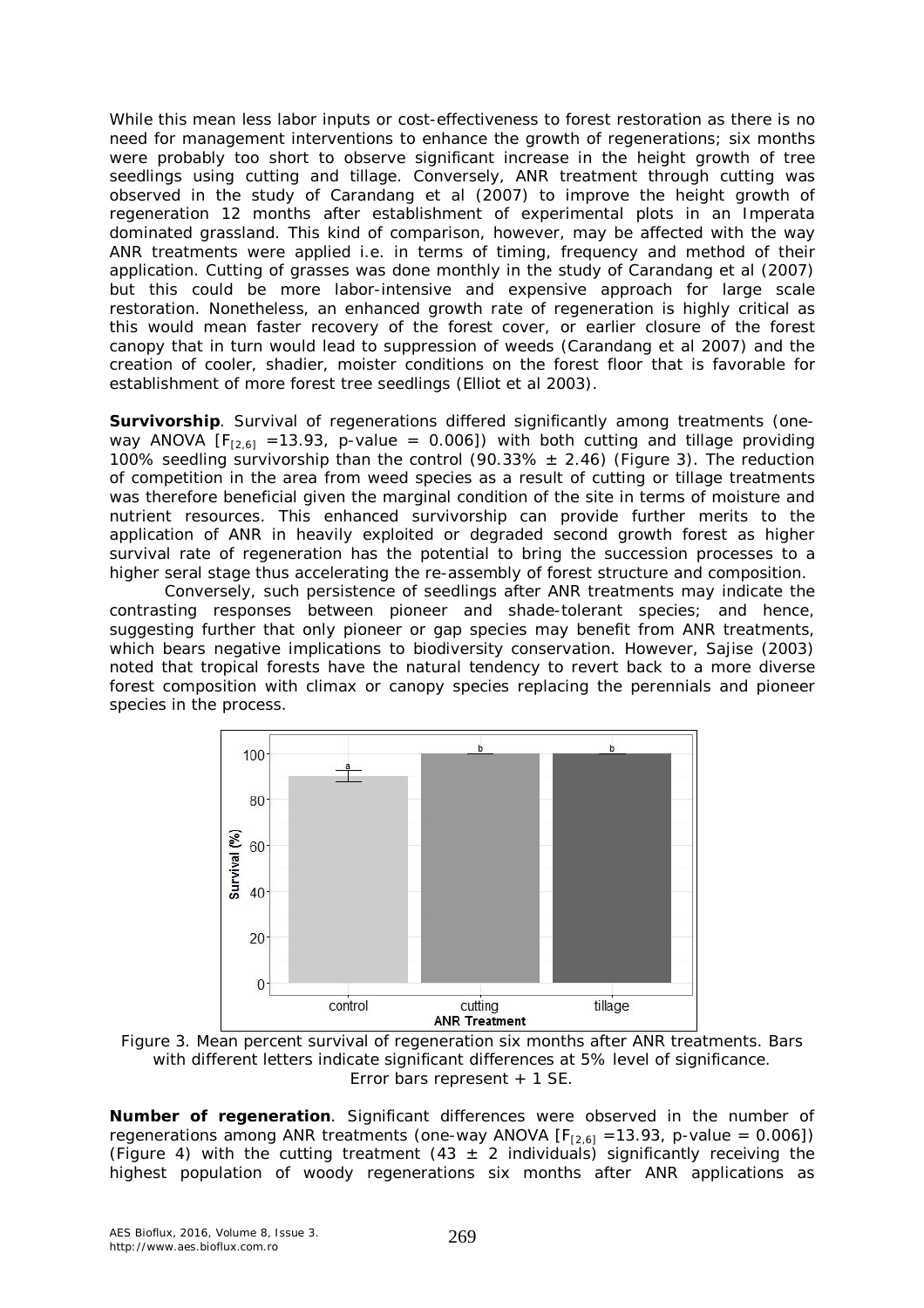While this mean less labor inputs or cost-effectiveness to forest restoration as there is no need for management interventions to enhance the growth of regenerations; six months were probably too short to observe significant increase in the height growth of tree seedlings using cutting and tillage. Conversely, ANR treatment through cutting was observed in the study of Carandang et al (2007) to improve the height growth of regeneration 12 months after establishment of experimental plots in an *Imperata* dominated grassland. This kind of comparison, however, may be affected with the way ANR treatments were applied i.e. in terms of timing, frequency and method of their application. Cutting of grasses was done monthly in the study of Carandang et al (2007) but this could be more labor-intensive and expensive approach for large scale restoration. Nonetheless, an enhanced growth rate of regeneration is highly critical as this would mean faster recovery of the forest cover, or earlier closure of the forest canopy that in turn would lead to suppression of weeds (Carandang et al 2007) and the creation of cooler, shadier, moister conditions on the forest floor that is favorable for establishment of more forest tree seedlings (Elliot et al 2003).

*Survivorship.* Survival of regenerations differed significantly among treatments (oneway ANOVA  $[F<sub>[2,6]</sub> = 13.93, p-value = 0.006]$  with both cutting and tillage providing 100% seedling survivorship than the control (90.33%  $\pm$  2.46) (Figure 3). The reduction of competition in the area from weed species as a result of cutting or tillage treatments was therefore beneficial given the marginal condition of the site in terms of moisture and nutrient resources. This enhanced survivorship can provide further merits to the application of ANR in heavily exploited or degraded second growth forest as higher survival rate of regeneration has the potential to bring the succession processes to a higher seral stage thus accelerating the re-assembly of forest structure and composition.

Conversely, such persistence of seedlings after ANR treatments may indicate the contrasting responses between pioneer and shade-tolerant species; and hence, suggesting further that only pioneer or gap species may benefit from ANR treatments, which bears negative implications to biodiversity conservation. However, Sajise (2003) noted that tropical forests have the natural tendency to revert back to a more diverse forest composition with climax or canopy species replacing the perennials and pioneer species in the process.



Figure 3. Mean percent survival of regeneration six months after ANR treatments. Bars with different letters indicate significant differences at 5% level of significance. Error bars represent + 1 SE.

*Number of regeneration.* Significant differences were observed in the number of regenerations among ANR treatments (one-way ANOVA  $[F<sub>[2,6]</sub>] = 13.93$ , p-value = 0.006]) (Figure 4) with the cutting treatment (43  $\pm$  2 individuals) significantly receiving the highest population of woody regenerations six months after ANR applications as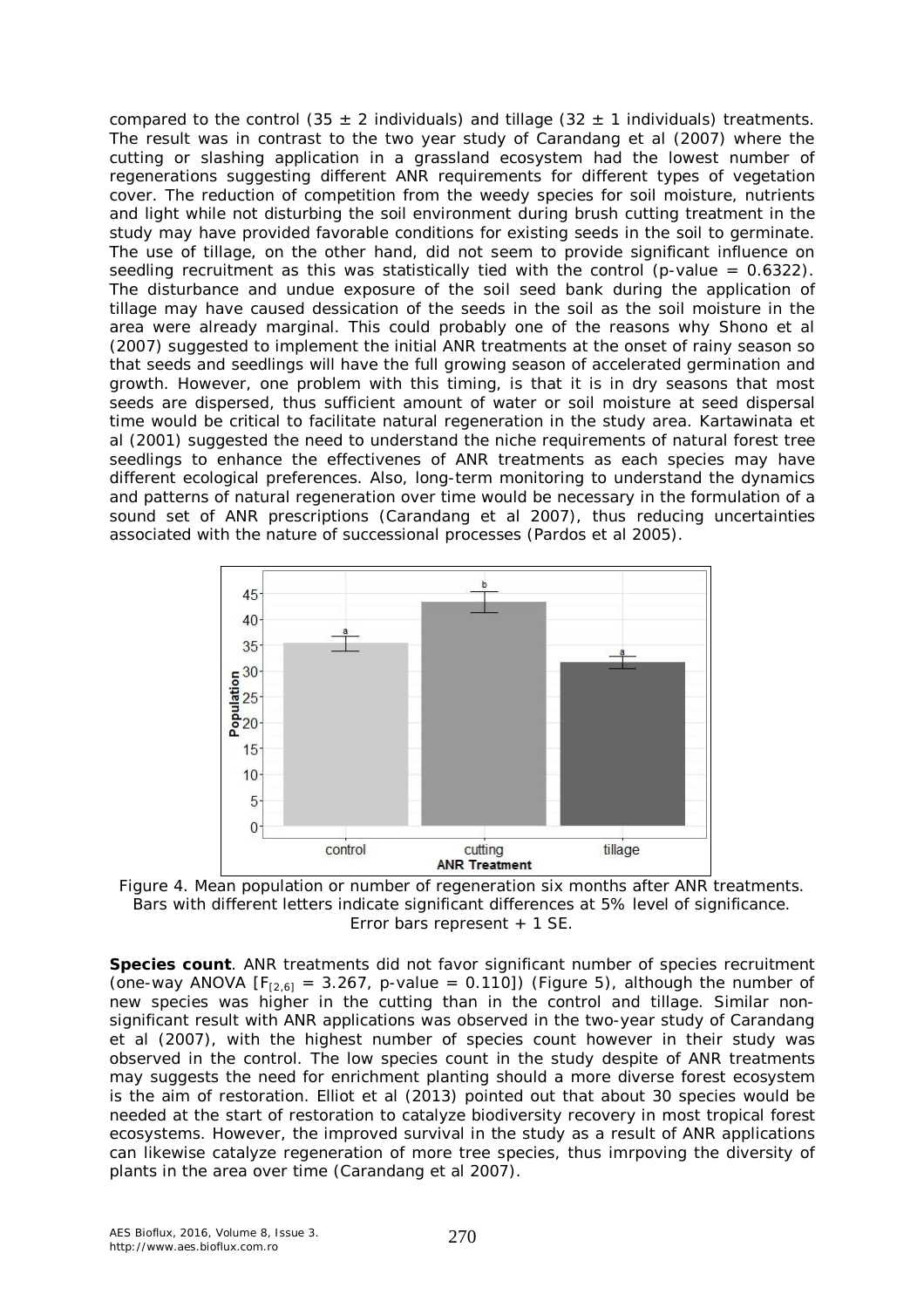compared to the control (35  $\pm$  2 individuals) and tillage (32  $\pm$  1 individuals) treatments. The result was in contrast to the two year study of Carandang et al (2007) where the cutting or slashing application in a grassland ecosystem had the lowest number of regenerations suggesting different ANR requirements for different types of vegetation cover. The reduction of competition from the weedy species for soil moisture, nutrients and light while not disturbing the soil environment during brush cutting treatment in the study may have provided favorable conditions for existing seeds in the soil to germinate. The use of tillage, on the other hand, did not seem to provide significant influence on seedling recruitment as this was statistically tied with the control (p-value  $= 0.6322$ ). The disturbance and undue exposure of the soil seed bank during the application of tillage may have caused dessication of the seeds in the soil as the soil moisture in the area were already marginal. This could probably one of the reasons why Shono et al (2007) suggested to implement the initial ANR treatments at the onset of rainy season so that seeds and seedlings will have the full growing season of accelerated germination and growth. However, one problem with this timing, is that it is in dry seasons that most seeds are dispersed, thus sufficient amount of water or soil moisture at seed dispersal time would be critical to facilitate natural regeneration in the study area. Kartawinata et al (2001) suggested the need to understand the niche requirements of natural forest tree seedlings to enhance the effectivenes of ANR treatments as each species may have different ecological preferences. Also, long-term monitoring to understand the dynamics and patterns of natural regeneration over time would be necessary in the formulation of a sound set of ANR prescriptions (Carandang et al 2007), thus reducing uncertainties associated with the nature of successional processes (Pardos et al 2005).



Figure 4. Mean population or number of regeneration six months after ANR treatments. Bars with different letters indicate significant differences at 5% level of significance. Error bars represent + 1 SE.

*Species count.* ANR treatments did not favor significant number of species recruitment (one-way ANOVA  $[F<sub>[2,6]</sub>] = 3.267$ , p-value = 0.110]) (Figure 5), although the number of new species was higher in the cutting than in the control and tillage. Similar nonsignificant result with ANR applications was observed in the two-year study of Carandang et al (2007), with the highest number of species count however in their study was observed in the control. The low species count in the study despite of ANR treatments may suggests the need for enrichment planting should a more diverse forest ecosystem is the aim of restoration. Elliot et al (2013) pointed out that about 30 species would be needed at the start of restoration to catalyze biodiversity recovery in most tropical forest ecosystems. However, the improved survival in the study as a result of ANR applications can likewise catalyze regeneration of more tree species, thus imrpoving the diversity of plants in the area over time (Carandang et al 2007).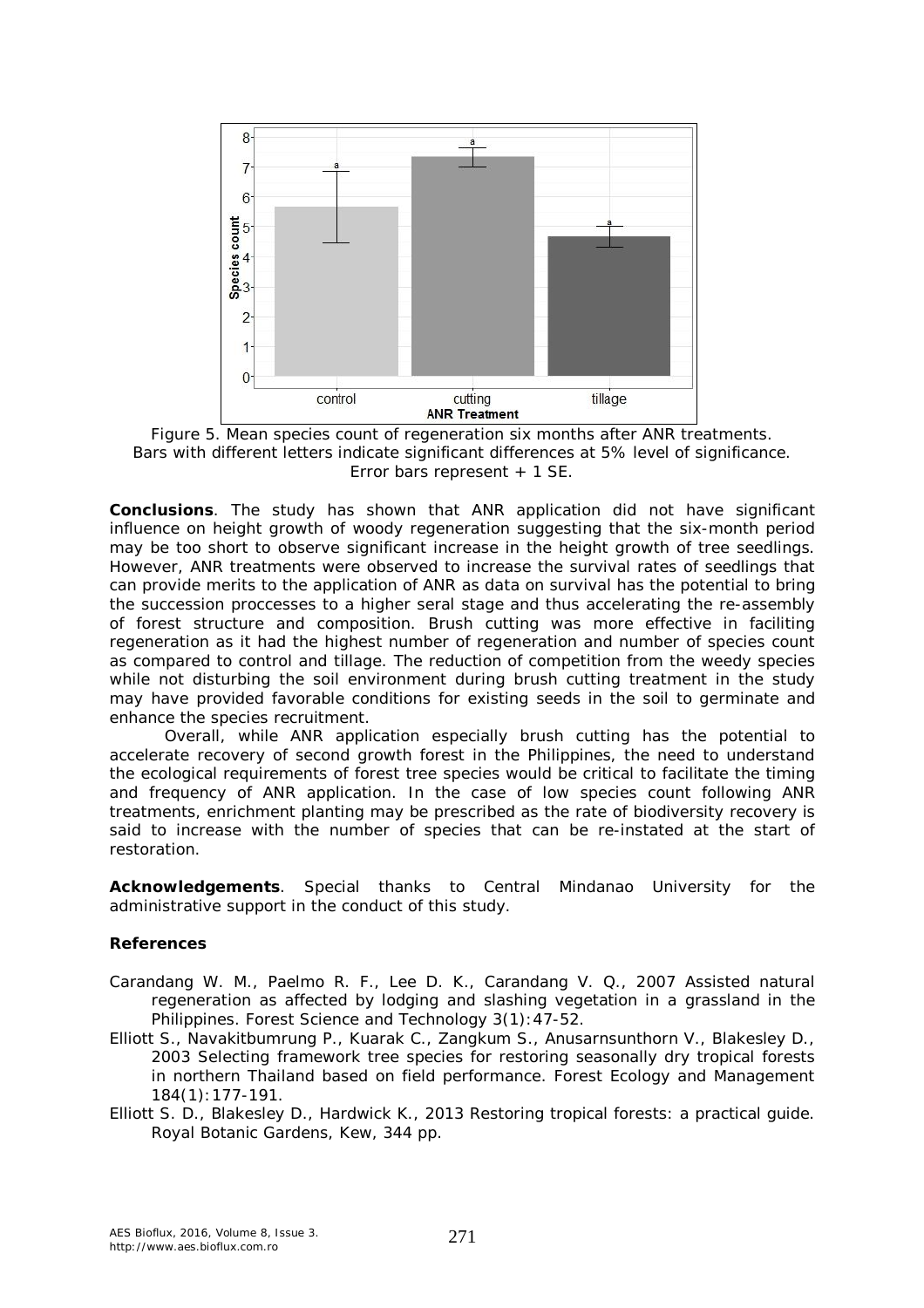

Figure 5. Mean species count of regeneration six months after ANR treatments. Bars with different letters indicate significant differences at 5% level of significance. Error bars represent + 1 SE.

**Conclusions**. The study has shown that ANR application did not have significant influence on height growth of woody regeneration suggesting that the six-month period may be too short to observe significant increase in the height growth of tree seedlings. However, ANR treatments were observed to increase the survival rates of seedlings that can provide merits to the application of ANR as data on survival has the potential to bring the succession proccesses to a higher seral stage and thus accelerating the re-assembly of forest structure and composition. Brush cutting was more effective in faciliting regeneration as it had the highest number of regeneration and number of species count as compared to control and tillage. The reduction of competition from the weedy species while not disturbing the soil environment during brush cutting treatment in the study may have provided favorable conditions for existing seeds in the soil to germinate and enhance the species recruitment.

Overall, while ANR application especially brush cutting has the potential to accelerate recovery of second growth forest in the Philippines, the need to understand the ecological requirements of forest tree species would be critical to facilitate the timing and frequency of ANR application. In the case of low species count following ANR treatments, enrichment planting may be prescribed as the rate of biodiversity recovery is said to increase with the number of species that can be re-instated at the start of restoration.

**Acknowledgements**. Special thanks to Central Mindanao University for the administrative support in the conduct of this study.

#### **References**

- Carandang W. M., Paelmo R. F., Lee D. K., Carandang V. Q., 2007 Assisted natural regeneration as affected by lodging and slashing vegetation in a grassland in the Philippines. Forest Science and Technology 3(1):47-52.
- Elliott S., Navakitbumrung P., Kuarak C., Zangkum S., Anusarnsunthorn V., Blakesley D., 2003 Selecting framework tree species for restoring seasonally dry tropical forests in northern Thailand based on field performance. Forest Ecology and Management 184(1):177-191.
- Elliott S. D., Blakesley D., Hardwick K., 2013 Restoring tropical forests: a practical guide. Royal Botanic Gardens, Kew, 344 pp.